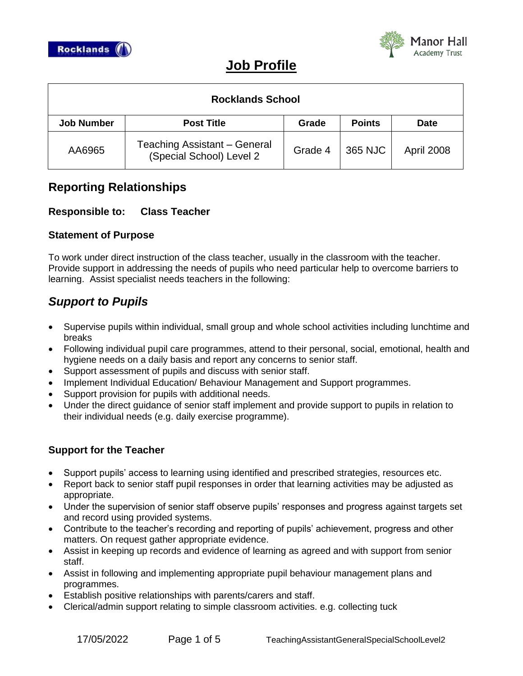



# **Job Profile**

| <b>Rocklands School</b> |                                                          |         |               |             |  |  |
|-------------------------|----------------------------------------------------------|---------|---------------|-------------|--|--|
| <b>Job Number</b>       | <b>Post Title</b>                                        | Grade   | <b>Points</b> | <b>Date</b> |  |  |
| AA6965                  | Teaching Assistant - General<br>(Special School) Level 2 | Grade 4 | 365 NJC       | April 2008  |  |  |

## **Reporting Relationships**

## **Responsible to: Class Teacher**

## **Statement of Purpose**

To work under direct instruction of the class teacher, usually in the classroom with the teacher. Provide support in addressing the needs of pupils who need particular help to overcome barriers to learning. Assist specialist needs teachers in the following:

## *Support to Pupils*

- Supervise pupils within individual, small group and whole school activities including lunchtime and breaks
- Following individual pupil care programmes, attend to their personal, social, emotional, health and hygiene needs on a daily basis and report any concerns to senior staff.
- Support assessment of pupils and discuss with senior staff.
- Implement Individual Education/ Behaviour Management and Support programmes.
- Support provision for pupils with additional needs.
- Under the direct guidance of senior staff implement and provide support to pupils in relation to their individual needs (e.g. daily exercise programme).

## **Support for the Teacher**

- Support pupils' access to learning using identified and prescribed strategies, resources etc.
- Report back to senior staff pupil responses in order that learning activities may be adjusted as appropriate.
- Under the supervision of senior staff observe pupils' responses and progress against targets set and record using provided systems.
- Contribute to the teacher's recording and reporting of pupils' achievement, progress and other matters. On request gather appropriate evidence.
- Assist in keeping up records and evidence of learning as agreed and with support from senior staff.
- Assist in following and implementing appropriate pupil behaviour management plans and programmes.
- Establish positive relationships with parents/carers and staff.
- Clerical/admin support relating to simple classroom activities. e.g. collecting tuck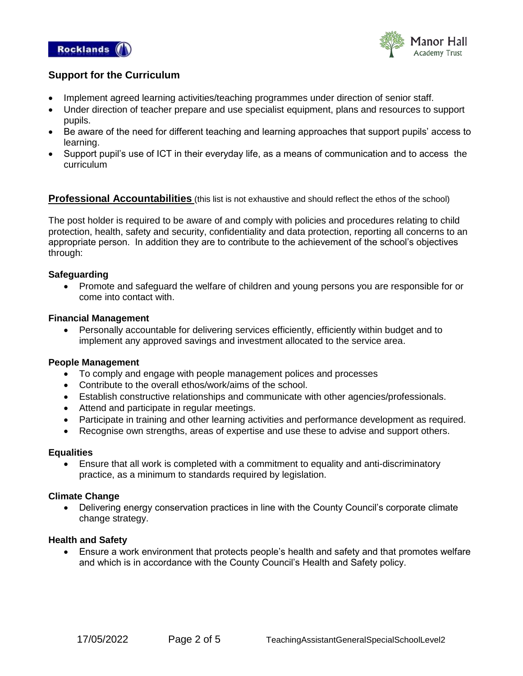



### **Support for the Curriculum**

- Implement agreed learning activities/teaching programmes under direction of senior staff.
- Under direction of teacher prepare and use specialist equipment, plans and resources to support pupils.
- Be aware of the need for different teaching and learning approaches that support pupils' access to learning.
- Support pupil's use of ICT in their everyday life, as a means of communication and to access the curriculum

### **Professional Accountabilities** (this list is not exhaustive and should reflect the ethos of the school)

The post holder is required to be aware of and comply with policies and procedures relating to child protection, health, safety and security, confidentiality and data protection, reporting all concerns to an appropriate person. In addition they are to contribute to the achievement of the school's objectives through:

#### **Safeguarding**

 Promote and safeguard the welfare of children and young persons you are responsible for or come into contact with.

#### **Financial Management**

 Personally accountable for delivering services efficiently, efficiently within budget and to implement any approved savings and investment allocated to the service area.

#### **People Management**

- To comply and engage with people management polices and processes
- Contribute to the overall ethos/work/aims of the school.
- Establish constructive relationships and communicate with other agencies/professionals.
- Attend and participate in regular meetings.
- Participate in training and other learning activities and performance development as required.
- Recognise own strengths, areas of expertise and use these to advise and support others.

#### **Equalities**

 Ensure that all work is completed with a commitment to equality and anti-discriminatory practice, as a minimum to standards required by legislation.

#### **Climate Change**

• Delivering energy conservation practices in line with the County Council's corporate climate change strategy.

#### **Health and Safety**

 Ensure a work environment that protects people's health and safety and that promotes welfare and which is in accordance with the County Council's Health and Safety policy.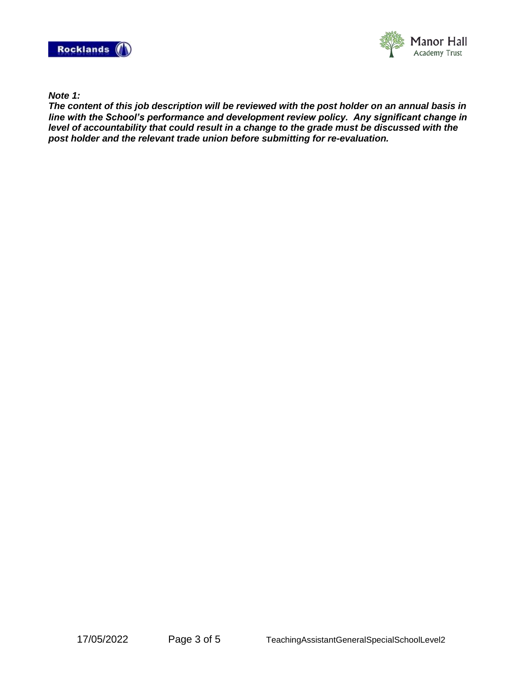



*Note 1:*

*The content of this job description will be reviewed with the post holder on an annual basis in line with the School's performance and development review policy. Any significant change in level of accountability that could result in a change to the grade must be discussed with the post holder and the relevant trade union before submitting for re-evaluation.*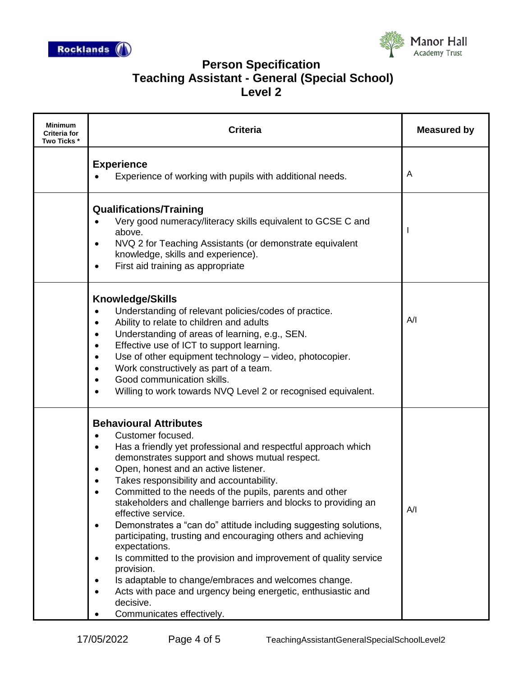



## **Person Specification Teaching Assistant - General (Special School) Level 2**

| Minimum<br>Criteria for<br>Two Ticks * | <b>Criteria</b>                                                                                                                                                                                                                                                                                                                                                                                                                                                                                                                                                                                                                                                                                                                                                                                                                                                                                                  | <b>Measured by</b> |
|----------------------------------------|------------------------------------------------------------------------------------------------------------------------------------------------------------------------------------------------------------------------------------------------------------------------------------------------------------------------------------------------------------------------------------------------------------------------------------------------------------------------------------------------------------------------------------------------------------------------------------------------------------------------------------------------------------------------------------------------------------------------------------------------------------------------------------------------------------------------------------------------------------------------------------------------------------------|--------------------|
|                                        | <b>Experience</b><br>Experience of working with pupils with additional needs.                                                                                                                                                                                                                                                                                                                                                                                                                                                                                                                                                                                                                                                                                                                                                                                                                                    | A                  |
|                                        | <b>Qualifications/Training</b><br>Very good numeracy/literacy skills equivalent to GCSE C and<br>above.<br>NVQ 2 for Teaching Assistants (or demonstrate equivalent<br>$\bullet$<br>knowledge, skills and experience).<br>First aid training as appropriate<br>$\bullet$                                                                                                                                                                                                                                                                                                                                                                                                                                                                                                                                                                                                                                         |                    |
|                                        | <b>Knowledge/Skills</b><br>Understanding of relevant policies/codes of practice.<br>$\bullet$<br>Ability to relate to children and adults<br>$\bullet$<br>Understanding of areas of learning, e.g., SEN.<br>$\bullet$<br>Effective use of ICT to support learning.<br>$\bullet$<br>Use of other equipment technology - video, photocopier.<br>$\bullet$<br>Work constructively as part of a team.<br>$\bullet$<br>Good communication skills.<br>$\bullet$<br>Willing to work towards NVQ Level 2 or recognised equivalent.<br>$\bullet$                                                                                                                                                                                                                                                                                                                                                                          | A/I                |
|                                        | <b>Behavioural Attributes</b><br>Customer focused.<br>$\bullet$<br>Has a friendly yet professional and respectful approach which<br>$\bullet$<br>demonstrates support and shows mutual respect.<br>Open, honest and an active listener.<br>$\bullet$<br>Takes responsibility and accountability.<br>Committed to the needs of the pupils, parents and other<br>stakeholders and challenge barriers and blocks to providing an<br>effective service.<br>Demonstrates a "can do" attitude including suggesting solutions,<br>$\bullet$<br>participating, trusting and encouraging others and achieving<br>expectations.<br>Is committed to the provision and improvement of quality service<br>$\bullet$<br>provision.<br>Is adaptable to change/embraces and welcomes change.<br>$\bullet$<br>Acts with pace and urgency being energetic, enthusiastic and<br>$\bullet$<br>decisive.<br>Communicates effectively. | A/I                |